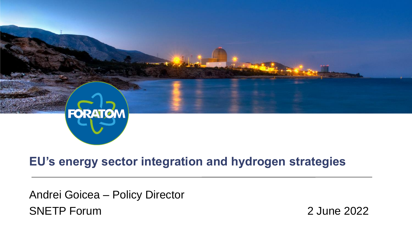

#### **EU's energy sector integration and hydrogen strategies**

Andrei Goicea – Policy Director SNETP Forum 2022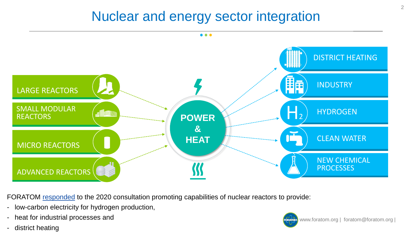### Nuclear and energy sector integration



FORATOM [responded](https://ec.europa.eu/info/law/better-regulation/have-your-say/initiatives/12383-Strategy-for-smart-sector-integration/F523842) to the 2020 consultation promoting capabilities of nuclear reactors to provide:

- low-carbon electricity for hydrogen production,
- heat for industrial processes and
- district heating

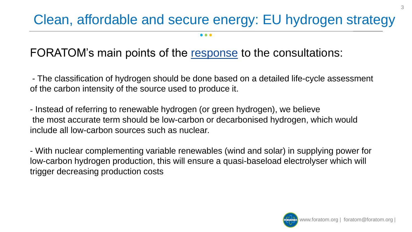# Clean, affordable and secure energy: EU hydrogen strategy

. . .

#### FORATOM's main points of the [response](https://ec.europa.eu/info/law/better-regulation/have-your-say/initiatives/12407-A-EU-hydrogen-strategy/F524052) to the consultations:

- The classification of hydrogen should be done based on a detailed life-cycle assessment of the carbon intensity of the source used to produce it.

- Instead of referring to renewable hydrogen (or green hydrogen), we believe the most accurate term should be low-carbon or decarbonised hydrogen, which would include all low-carbon sources such as nuclear.

- With nuclear complementing variable renewables (wind and solar) in supplying power for low-carbon hydrogen production, this will ensure a quasi-baseload electrolyser which will trigger decreasing production costs



3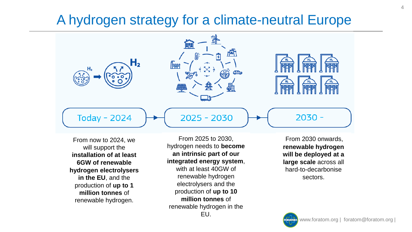## A hydrogen strategy for a climate-neutral Europe



From now to 2024, we will support the **installation of at least 6GW of renewable hydrogen electrolysers in the EU**, and the production of **up to 1 million tonnes** of renewable hydrogen.

From 2025 to 2030, hydrogen needs to **become an intrinsic part of our integrated energy system**, with at least 40GW of renewable hydrogen electrolysers and the production of **up to 10 million tonnes** of renewable hydrogen in the EU.

From 2030 onwards, **renewable hydrogen will be deployed at a large scale** across all hard-to-decarbonise sectors.

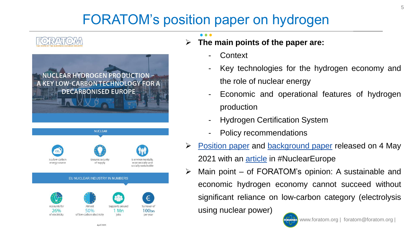# FORATOM's position paper on hydrogen





- ➢ **The main points of the paper are:**
	- **Context**
	- Key technologies for the hydrogen economy and the role of nuclear energy
	- Economic and operational features of hydrogen production
	- **Hydrogen Certification System**
	- Policy recommendations
- [Position](https://www.foratom.org/downloads/position-paper-nuclear-hydrogen-production-a-key-low-carbon-technology-for-a-decarbonised-europe/?wpdmdl=46027&refresh=60a36ef688ffa1621323510) paper and [background](https://www.foratom.org/downloads/background-paper-nuclear-hydrogen-production-a-key-low-carbon-technology-for-a-decarbonised-europe/?wpdmdl=46025&refresh=60a36ef68ed551621323510) paper released on 4 May 2021 with an *[article](https://www.foratom.org/blog/hydrogen-the-new-energy-sector-panacea/)* in #NuclearEurope
- ➢ Main point of FORATOM's opinion: A sustainable and economic hydrogen economy cannot succeed without significant reliance on low-carbon category (electrolysis using nuclear power)